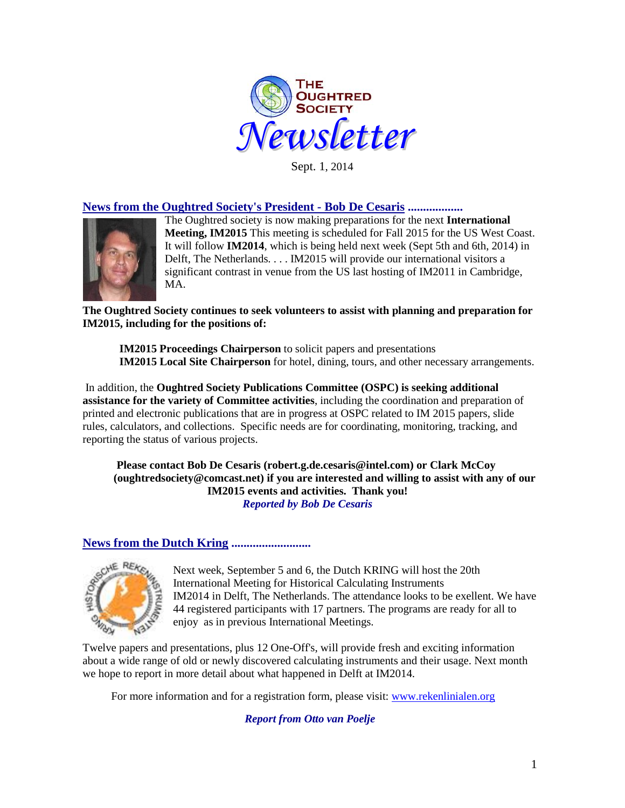

Sept. 1, 2014

# **News from the Oughtred Society's President - Bob De Cesaris ..................**



The Oughtred society is now making preparations for the next **International Meeting, IM2015** This meeting is scheduled for Fall 2015 for the US West Coast. It will follow **IM2014**, which is being held next week (Sept 5th and 6th, 2014) in Delft, The Netherlands. . . . IM2015 will provide our international visitors a significant contrast in venue from the US last hosting of IM2011 in Cambridge, MA.

**The Oughtred Society continues to seek volunteers to assist with planning and preparation for IM2015, including for the positions of:**

**IM2015 Proceedings Chairperson** to solicit papers and presentations **IM2015 Local Site Chairperson** for hotel, dining, tours, and other necessary arrangements.

In addition, the **Oughtred Society Publications Committee (OSPC) is seeking additional assistance for the variety of Committee activities**, including the coordination and preparation of printed and electronic publications that are in progress at OSPC related to IM 2015 papers, slide rules, calculators, and collections. Specific needs are for coordinating, monitoring, tracking, and reporting the status of various projects.

**Please contact Bob De Cesaris (robert.g.de.cesaris@intel.com) or Clark McCoy (oughtredsociety@comcast.net) if you are interested and willing to assist with any of our IM2015 events and activities. Thank you!** *Reported by Bob De Cesaris*

#### **News from the Dutch Kring ..........................**



Next week, September 5 and 6, the Dutch KRING will host the 20th International Meeting for Historical Calculating Instruments IM2014 in Delft, The Netherlands. The attendance looks to be exellent. We have 44 registered participants with 17 partners. The programs are ready for all to enjoy as in previous International Meetings.

Twelve papers and presentations, plus 12 One-Off's, will provide fresh and exciting information about a wide range of old or newly discovered calculating instruments and their usage. Next month we hope to report in more detail about what happened in Delft at IM2014.

For more information and for a registration form, please visit: [www.rekenlinialen.org](http://www.rekenlinialen.org/)

*Report from Otto van Poelje*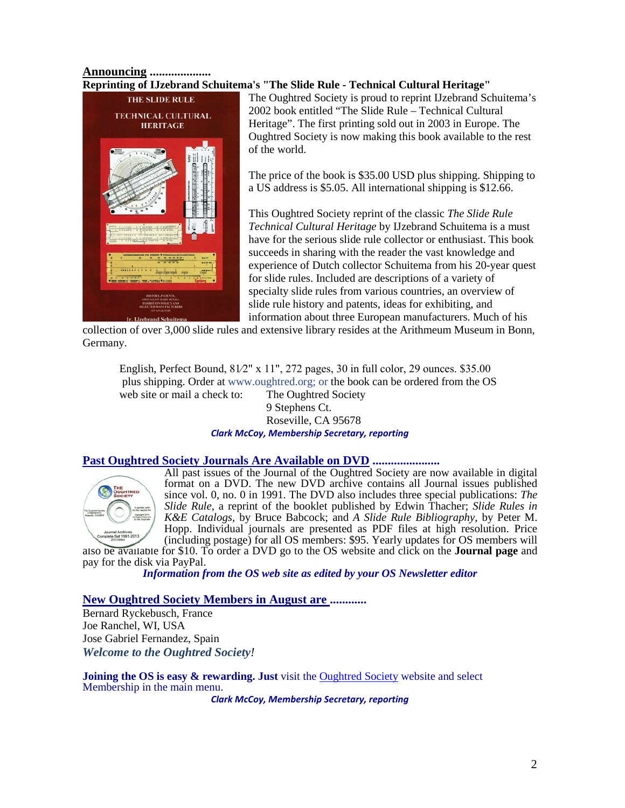## **Announcing .................... Reprinting of IJzebrand Schuitema's "The Slide Rule - Technical Cultural Heritage"**



The Oughtred Society is proud to reprint IJzebrand Schuitema's 2002 book entitled "The Slide Rule – Technical Cultural Heritage". The first printing sold out in 2003 in Europe. The Oughtred Society is now making this book available to the rest of the world.

The price of the book is \$35.00 USD plus shipping. Shipping to a US address is \$5.05. All international shipping is \$12.66.

This Oughtred Society reprint of the classic *The Slide Rule Technical Cultural Heritage* by IJzebrand Schuitema is a must have for the serious slide rule collector or enthusiast. This book succeeds in sharing with the reader the vast knowledge and experience of Dutch collector Schuitema from his 20-year quest for slide rules. Included are descriptions of a variety of specialty slide rules from various countries, an overview of slide rule history and patents, ideas for exhibiting, and information about three European manufacturers. Much of his

collection of over 3,000 slide rules and extensive library resides at the Arithmeum Museum in Bonn, Germany.

English, Perfect Bound, 81⁄2" x 11", 272 pages, 30 in full color, 29 ounces. \$35.00 plus shipping. Order at www.oughtred.org; or the book can be ordered from the OS web site or mail a check to: The Oughtred Society 9 Stephens Ct.

### Roseville, CA 95678 *Clark McCoy, Membership Secretary, reporting*

### **Past Oughtred Society Journals Are Available on DVD ......................**



All past issues of the Journal of the Oughtred Society are now available in digital format on a DVD. The new DVD archive contains all Journal issues published since vol. 0, no. 0 in 1991. The DVD also includes three special publications: *The Slide Rule,* a reprint of the booklet published by Edwin Thacher; *Slide Rules in K&E Catalogs,* by Bruce Babcock; and *A Slide Rule Bibliography*, by Peter M. Hopp. Individual journals are presented as PDF files at high resolution. Price (including postage) for all OS members: \$95. Yearly updates for OS members will

also be available for \$10. To order a DVD go to the OS website and click on the **[Journal page](http://www.oughtred.org/journal.shtml%23dvd)** and pay for the disk via PayPal.

*Information from the OS web site as edited by your OS Newsletter editor*

### **New Oughtred Society Members in August are ............**

Bernard Ryckebusch, France Joe Ranchel, WI, USA Jose Gabriel Fernandez, Spain *Welcome to the Oughtred Society!* 

**Joining the OS is easy & rewarding. Just** visit the [Oughtred Society](http://www.oughtred.org/) website and select Membership in the main menu.

*Clark McCoy, Membership Secretary, reporting*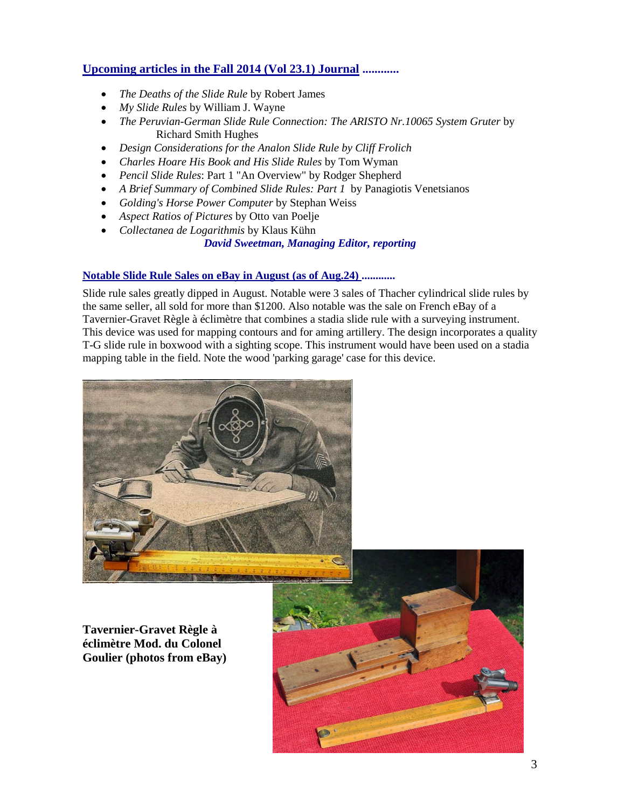# **Upcoming articles in the Fall 2014 (Vol 23.1) Journal ............**

- *The Deaths of the Slide Rule* by Robert James
- *My Slide Rules* by William J. Wayne
- *The Peruvian-German Slide Rule Connection: The ARISTO Nr.10065 System Gruter* by Richard Smith Hughes
- *Design Considerations for the Analon Slide Rule by Cliff Frolich*
- *Charles Hoare His Book and His Slide Rules* by Tom Wyman
- *Pencil Slide Rules*: Part 1 "An Overview" by Rodger Shepherd
- *A Brief Summary of Combined Slide Rules: Part 1* by Panagiotis Venetsianos
- *Golding's Horse Power Computer* by Stephan Weiss
- *Aspect Ratios of Pictures* by Otto van Poelje
- *Collectanea de Logarithmis* by Klaus Kühn

# *David Sweetman, Managing Editor, reporting*

### **Notable Slide Rule Sales on eBay in August (as of Aug.24) ............**

Slide rule sales greatly dipped in August. Notable were 3 sales of Thacher cylindrical slide rules by the same seller, all sold for more than \$1200. Also notable was the sale on French eBay of a Tavernier-Gravet Règle à éclimètre that combines a stadia slide rule with a surveying instrument. This device was used for mapping contours and for aming artillery. The design incorporates a quality T-G slide rule in boxwood with a sighting scope. This instrument would have been used on a stadia mapping table in the field. Note the wood 'parking garage' case for this device.



**Tavernier-Gravet Règle à éclimètre Mod. du Colonel Goulier (photos from eBay)**

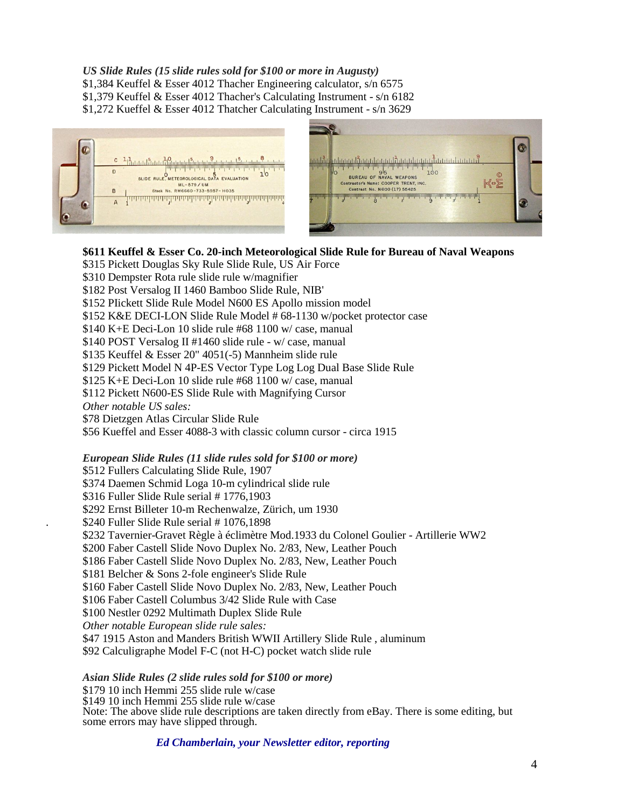### *US Slide Rules (15 slide rules sold for \$100 or more in Augusty)*

\$1,384 Keuffel & Esser 4012 Thacher Engineering calculator, s/n 6575

\$1,379 Keuffel & Esser 4012 Thacher's Calculating Instrument - s/n 6182

\$1,272 Kueffel & Esser 4012 Thatcher Calculating Instrument - s/n 3629





# **\$611 Keuffel & Esser Co. 20-inch Meteorological Slide Rule for Bureau of Naval Weapons**

- \$315 Pickett Douglas Sky Rule Slide Rule, US Air Force
- \$310 Dempster Rota rule slide rule w/magnifier

\$182 Post Versalog II 1460 Bamboo Slide Rule, NIB'

\$152 PIickett Slide Rule Model N600 ES Apollo mission model

\$152 K&E DECI-LON Slide Rule Model # 68-1130 w/pocket protector case

\$140 K+E Deci-Lon 10 slide rule #68 1100 w/ case, manual

\$140 POST Versalog II #1460 slide rule - w/ case, manual

\$135 Keuffel & Esser 20" 4051(-5) Mannheim slide rule

\$129 Pickett Model N 4P-ES Vector Type Log Log Dual Base Slide Rule

\$125 K+E Deci-Lon 10 slide rule #68 1100 w/ case, manual

\$112 Pickett N600-ES Slide Rule with Magnifying Cursor

*Other notable US sales:*

\$78 Dietzgen Atlas Circular Slide Rule

\$56 Kueffel and Esser 4088-3 with classic column cursor - circa 1915

#### *European Slide Rules (11 slide rules sold for \$100 or more)*

\$512 Fullers Calculating Slide Rule, 1907 \$374 Daemen Schmid Loga 10-m cylindrical slide rule \$316 Fuller Slide Rule serial # 1776,1903 \$292 Ernst Billeter 10-m Rechenwalze, Zürich, um 1930 . \$240 Fuller Slide Rule serial # 1076,1898 \$232 Tavernier-Gravet Règle à éclimètre Mod.1933 du Colonel Goulier - Artillerie WW2 \$200 Faber Castell Slide Novo Duplex No. 2/83, New, Leather Pouch \$186 Faber Castell Slide Novo Duplex No. 2/83, New, Leather Pouch \$181 Belcher & Sons 2-fole engineer's Slide Rule \$160 Faber Castell Slide Novo Duplex No. 2/83, New, Leather Pouch \$106 Faber Castell Columbus 3/42 Slide Rule with Case \$100 Nestler 0292 Multimath Duplex Slide Rule *Other notable European slide rule sales:* \$47 1915 Aston and Manders British WWII Artillery Slide Rule, aluminum \$92 Calculigraphe Model F-C (not H-C) pocket watch slide rule

*Asian Slide Rules (2 slide rules sold for \$100 or more)*

\$179 10 inch Hemmi 255 slide rule w/case

\$149 10 inch Hemmi 255 slide rule w/case

Note: The above slide rule descriptions are taken directly from eBay. There is some editing, but some errors may have slipped through.

*Ed Chamberlain, your Newsletter editor, reporting*